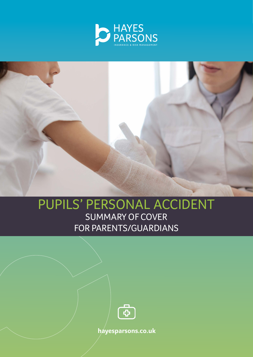



# PUPILS' PERSONAL ACCIDENT SUMMARY OF COVER FOR PARENTS/GUARDIANS



**hayesparsons.co.uk**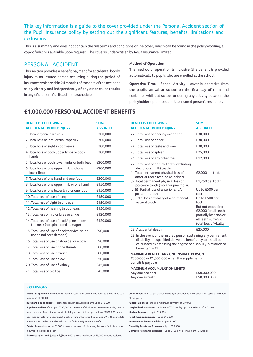## This key information is a guide to the cover provided under the Personal Accident section of the Pupil Insurance policy by setting out the significant features, benefits, limitations and exclusions.

This is a summary and does not contain the full terms and conditions of the cover, which can be found in the policy wording, a copy of which is available upon request. The cover is underwritten by Aviva Insurance Limited.

### PERSONAL ACCIDENT

This section provides a benefit payment for accidental bodily injury to an insured person occurring during the period of insurance which within 24 months of the date of the accident solely directly and independently of any other cause results in any of the benefits listed in the schedule.

#### **Method of Operation**

The method of operation is inclusive (the benefit is provided automatically to pupils who are enrolled at the school).

**Operative Time** - School Activity - cover is operative from the pupil's arrival at school on the first day of term and continues whilst at school or during any activity between the policyholder's premises and the insured person's residence.

## **£1,000,000 PERSONAL ACCIDENT BENEFITS**

| <b>BENEFITS FOLLOWING</b><br><b>ACCIDENTAL BODILY INJURY</b>                  | <b>SUM</b><br><b>ASSURED</b> |
|-------------------------------------------------------------------------------|------------------------------|
| 1. Total organic paralysis                                                    | £300,000                     |
| 2. Total loss of intellectual capacity                                        | £300,000                     |
| 3. Total loss of sight in both eyes                                           | £300,000                     |
| 4. Total loss of both upper limbs or both<br>hands                            | £300,000                     |
| 5. Total loss of both lower limbs or both feet                                | £300,000                     |
| 6. Total loss of one upper limb and one<br>lower limb                         | £300,000                     |
| 7. Total loss of one hand and one foot                                        | £300,000                     |
| 8. Total loss of one upper limb or one hand                                   | £150,000                     |
| 9. Total loss of one lower limb or one foot                                   | £150,000                     |
| 10. Total loss of use of lung                                                 | £150,000                     |
| 11. Total loss of sight in one eye                                            | £150,000                     |
| 12. Total loss of hearing in both ears                                        | £150,000                     |
| 13. Total loss of hip or knee or ankle                                        | £120,000                     |
| 14. Total loss of use of back/spine below<br>the neck (no spinal cord damage) | £120,000                     |
| 15. Total loss of use of neck/cervical spine<br>(no spinal cord damage)       | £90,000                      |
| 16. Total loss of use of shoulder or elbow                                    | £90,000                      |
| 17. Total loss of use of one thumb                                            | £80,000                      |
| 18. Total loss of use of wrist                                                | £80,000                      |
| 19. Total loss of use of jaw                                                  | £50,000                      |
| 20. Total loss of use of kidney                                               | £45,000                      |
| 21. Total loss of big toe                                                     | £45,000                      |

| <b>BENEFITS FOLLOWING</b><br><b>ACCIDENTAL BODILY INJURY</b>                                                                                                                                                                                                                                                                                                     | <b>SUM</b><br><b>ASSURED</b>                                                                                                                                                                                      |  |
|------------------------------------------------------------------------------------------------------------------------------------------------------------------------------------------------------------------------------------------------------------------------------------------------------------------------------------------------------------------|-------------------------------------------------------------------------------------------------------------------------------------------------------------------------------------------------------------------|--|
| 22. Total loss of hearing in one ear                                                                                                                                                                                                                                                                                                                             | £30,000                                                                                                                                                                                                           |  |
| 23. Total loss of finger                                                                                                                                                                                                                                                                                                                                         | £30,000                                                                                                                                                                                                           |  |
| 24. Total loss of taste and smell                                                                                                                                                                                                                                                                                                                                | £30,000                                                                                                                                                                                                           |  |
| 25. Total loss of spleen                                                                                                                                                                                                                                                                                                                                         | £25,000                                                                                                                                                                                                           |  |
| 26. Total loss of any other toe                                                                                                                                                                                                                                                                                                                                  | £12,000                                                                                                                                                                                                           |  |
| 27. Total loss of natural tooth (excluding<br>deciduous (milk) teeth)<br>(a) Total permanent physical loss of<br>anterior tooth (canine or incisor)<br>(b) Total permanent physical loss of<br>posterior tooth (molar or pre-molar)<br>(c) (i) Partial loss of anterior and/or<br>posterior tooth<br>(ii) Total loss of vitality of a permanent<br>natural tooth | £2,000 per tooth<br>£1,250 per tooth<br>Up to £500 per<br>tooth<br>Up to £500 per<br>tooth<br>But not exceeding<br>£2,000 for all teeth<br>partially lost and/or<br>all teeth suffering<br>total loss of vitality |  |
| 28. Accidental death                                                                                                                                                                                                                                                                                                                                             | £25,000                                                                                                                                                                                                           |  |
| 29. In the event of the insured person sustaining any permanent<br>disability not specified above the benefit payable shall be<br>calculated by assessing the degree of disability in relation to<br>benefits $1 - 27$ .                                                                                                                                         |                                                                                                                                                                                                                   |  |
| <b>MAXIMUM BENEFIT ANY ONE INSURED PERSON</b><br>£300,000 or £1,000,000 when the supplemental<br>benefit is payable<br><b>JAMBER ACCURATION LIBRATIC</b>                                                                                                                                                                                                         |                                                                                                                                                                                                                   |  |

| <b>MAXIMUM ACCUMULATION LIMITS</b> |             |
|------------------------------------|-------------|
| Any one accident                   | £50,000,000 |
| Any one aircraft                   | £50,000,000 |
|                                    |             |

#### **EXTENSIONS**

**Facial Disfigurement Benefit –** Permanent scarring or permanent burns to the face up to a maximum of £10,000

**Burns and Scalds Benefit –** Permanent scarring caused by burns up to £10,000

**Supplemental Benefit –** Up to £700,000 in the event of the insured person sustaining one, or more than one, form of permanent disability where total compensation of £300,000 or more becomes payable for a permanent disability under benefits 1 to 27 and 29 in the schedule above and/or the burns and scalds and the facial disfigurement benefit

**Estate Administration –** £1,000 towards the cost of obtaining letters of administration incurred in relation to death

**Fractures** - (Certain injuries only) from £500 up to a maximum of £5,000 any one accident

**Coma Benefits –** £100 per day for each day of continuous unconsciousness up to a maximum of two years

**Funeral Expenses –** Up to a maximum payment of £10,000

**Hospitalisation –** Up to a maximum of £50 per day up to a maximum of 365 days

**Medical Expenses –** Up to £15,000

**Rehabilitation Expenses –** Up to £15,000

**Independent Financial Advice –** Up to £3,000

**Disability Assistance Expenses –** Up to £25,000

**Domestic Assistance Expenses –** Up to £100 a week (maximum 104 weeks)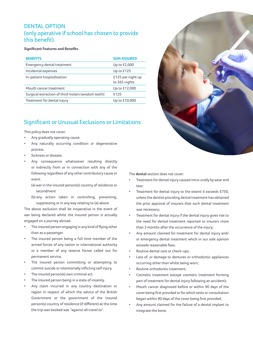# DENTAL OPTION (only operative if school has chosen to provide this benefit)

#### **Significant Features and Benefits**

| <b>BENEFITS</b>                                    | <b>SUM ASSURED</b>                 |
|----------------------------------------------------|------------------------------------|
| Emergency dental treatment                         | Up to £2,000                       |
| Incidental expenses                                | Up to $£125$                       |
| In-patient hospitalisation                         | £125 per night up<br>to 365 nights |
| Mouth cancer treatment                             | Up to £12,000                      |
| Surgical extraction of third molars (wisdom teeth) | £125                               |
| Treatment for dental injury                        | Up to £10,000                      |

# Significant or Unusual Exclusions or Limitations

This policy does not cover:

- Any gradually operating cause.
- Any naturally occurring condition or degenerative process.
- Sickness or disease.
- Any consequence whatsoever resulting directly or indirectly from or in connection with any of the following regardless of any other contributory cause or event.
	- (a) war in the insured person(s) country of residence or secondment
	- (b) any action taken in controlling, preventing, suppressing or in any way relating to (a) above

The above exclusion shall be inoperative in the event of war being declared whilst the insured person is actually engaged on a journey abroad.

- The insured person engaging in any kind of flying other than as a passenger.
- The insured person being a full time member of the armed forces of any nation or international authority or a member of any reserve forces called out for permanent service.
- The insured person committing or attempting to commit suicide or intentionally inflicting self injury.
- The insured person(s) own criminal act.
- The insured person being in a state of insanity.
- Any claim incurred in any country destination or region in respect of which the advice of the British Government or the government of the insured person(s) country of residence (if different) at the time the trip was booked was "against all travel to".



The **dental** section does not cover:

- Treatment for dental injury caused intra-orally by wear and tear;
- Treatment for dental injury to the extent it exceeds £750, unless the dentist providing dental treatment has obtained the prior approval of insurers that such dental treatment was necessary;
- Treatment for dental injury if the dental injury gives rise to the need for dental treatment reported to insurers more than 3 months after the occurrence of the injury;
- Any amount claimed for treatment for dental injury and/ or emergency dental treatment which in our sole opinion exceeds reasonable fees;
- Routine dental care or check-ups;
- Loss of, or damage to dentures or orthodontic appliances occurring other than whilst being worn;
- Routine orthodontic treatment;
- Cosmetic treatment (except cosmetic treatment forming part of treatment for dental injury following an accident);
- Mouth cancer diagnosed before or within 90 days of the cover being first provided or for which tests or consultation began within 90 days of the cover being first provided;
- Any amount claimed for the failure of a dental implant to integrate the bone.